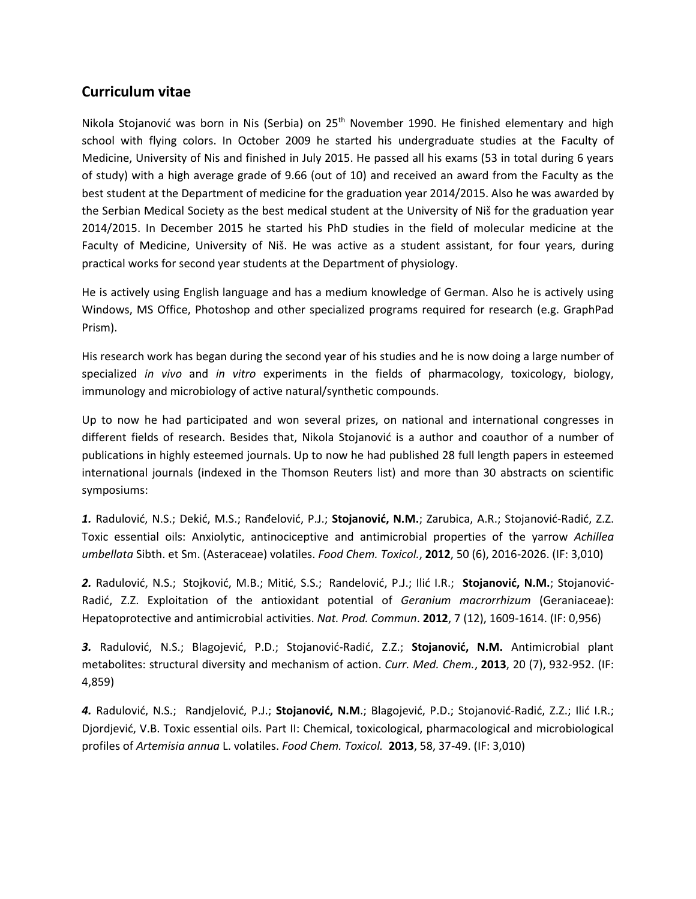## **Curriculum vitae**

Nikola Stojanović was born in Nis (Serbia) on 25<sup>th</sup> November 1990. He finished elementary and high school with flying colors. In October 2009 he started his undergraduate studies at the Faculty of Medicine, University of Nis and finished in July 2015. He passed all his exams (53 in total during 6 years of study) with a high average grade of 9.66 (out of 10) and received an award from the Faculty as the best student at the Department of medicine for the graduation year 2014/2015. Also he was awarded by the Serbian Medical Society as the best medical student at the University of Niš for the graduation year 2014/2015. In December 2015 he started his PhD studies in the field of molecular medicine at the Faculty of Medicine, University of Niš. He was active as a student assistant, for four years, during practical works for second year students at the Department of physiology.

He is actively using English language and has a medium knowledge of German. Also he is actively using Windows, MS Office, Photoshop and other specialized programs required for research (e.g. GraphPad Prism).

His research work has began during the second year of his studies and he is now doing a large number of specialized *in vivo* and *in vitro* experiments in the fields of pharmacology, toxicology, biology, immunology and microbiology of active natural/synthetic compounds.

Up to now he had participated and won several prizes, on national and international congresses in different fields of research. Besides that, Nikola Stojanović is a author and coauthor of a number of publications in highly esteemed journals. Up to now he had published 28 full length papers in esteemed international journals (indexed in the Thomson Reuters list) and more than 30 abstracts on scientific symposiums:

*1.* Radulović, N.S.; Dekić, M.S.; Ranđelović, P.J.; **Stojanović, N.M.**; Zarubica, A.R.; Stojanović-Radić, Z.Z. Toxic essential oils: Anxiolytic, antinociceptive and antimicrobial properties of the yarrow *Achillea umbellata* Sibth. et Sm. (Asteraceae) volatiles. *Food Chem. Toxicol.*, **2012**, 50 (6), 2016-2026. (IF: 3,010)

*2.* Radulović, N.S.; Stojković, M.B.; Mitić, S.S.; Randelović, P.J.; Ilić I.R.; **Stojanović, N.M.**; Stojanović-Radić, Z.Z. Exploitation of the antioxidant potential of *Geranium macrorrhizum* (Geraniaceae): Hepatoprotective and antimicrobial activities. *Nat. Prod. Commun*. **2012**, 7 (12), 1609-1614. (IF: 0,956)

*3.* Radulović, N.S.; Blagojević, P.D.; Stojanović-Radić, Z.Z.; **Stojanović, N.M.** Antimicrobial plant metabolites: structural diversity and mechanism of action. *Curr. Med. Chem.*, **2013**, 20 (7), 932-952. (IF: 4,859)

*4.* Radulović, N.S.; Randjelović, P.J.; **Stojanović, N.M**.; Blagojević, P.D.; Stojanović-Radić, Z.Z.; Ilić I.R.; Djordjević, V.B. Toxic essential oils. Part II: Chemical, toxicological, pharmacological and microbiological profiles of *Artemisia annua* L. volatiles. *Food Chem. Toxicol.* **2013**, 58, 37-49. (IF: 3,010)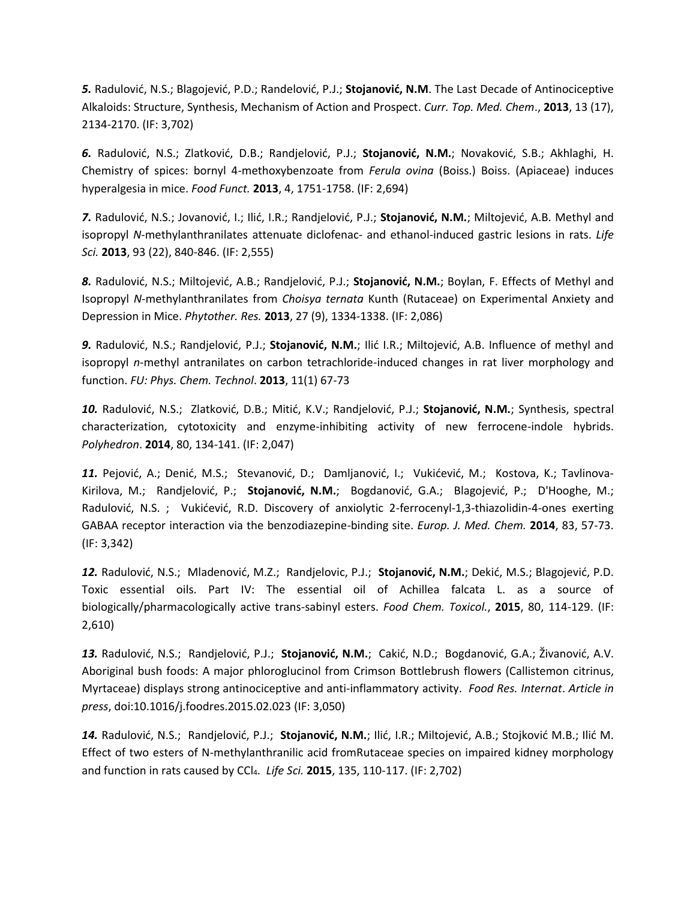*5.* Radulović, N.S.; Blagojević, P.D.; Randelović, P.J.; **Stojanović, N.M**. The Last Decade of Antinociceptive Alkaloids: Structure, Synthesis, Mechanism of Action and Prospect. *Curr. Top. Med. Chem*., **2013**, 13 (17), 2134-2170. (IF: 3,702)

*6.* Radulović, N.S.; Zlatković, D.B.; Randjelović, P.J.; **Stojanović, N.M.**; Novaković, S.B.; Akhlaghi, H. Chemistry of spices: bornyl 4-methoxybenzoate from *Ferula ovina* (Boiss.) Boiss. (Apiaceae) induces hyperalgesia in mice. *Food Funct.* **2013**, 4, 1751-1758. (IF: 2,694)

*7.* Radulović, N.S.; Jovanović, I.; Ilić, I.R.; Randjelović, P.J.; **Stojanović, N.M.**; Miltojević, A.B. Methyl and isopropyl *N*-methylanthranilates attenuate diclofenac- and ethanol-induced gastric lesions in rats. *Life Sci.* **2013**, 93 (22), 840-846. (IF: 2,555)

*8.* Radulović, N.S.; Miltojević, A.B.; Randjelović, P.J.; **Stojanović, N.M.**; Boylan, F. Effects of Methyl and Isopropyl *N*-methylanthranilates from *Choisya ternata* Kunth (Rutaceae) on Experimental Anxiety and Depression in Mice. *Phytother. Res.* **2013**, 27 (9), 1334-1338. (IF: 2,086)

*9.* Radulović, N.S.; Randjelović, P.J.; **Stojanović, N.M.**; Ilić I.R.; Miltojević, A.B. Influence of methyl and isopropyl *n*-methyl antranilates on carbon tetrachloride-induced changes in rat liver morphology and function. *FU: Phys. Chem. Technol*. **2013**, 11(1) 67-73

*10.* Radulović, N.S.; Zlatković, D.B.; Mitić, K.V.; Randjelović, P.J.; **Stojanović, N.M.**; Synthesis, spectral characterization, cytotoxicity and enzyme-inhibiting activity of new ferrocene-indole hybrids. *Polyhedron*. **2014**, 80, 134-141. (IF: 2,047)

*11.* Pejović, A.; Denić, M.S.; Stevanović, D.; Damljanović, I.; Vukićević, M.; Kostova, K.; Tavlinova-Kirilova, M.; Randjelović, P.; **Stojanović, N.M.**; Bogdanović, G.A.; Blagojević, P.; D'Hooghe, M.; Radulović, N.S. ; Vukićević, R.D. Discovery of anxiolytic 2-ferrocenyl-1,3-thiazolidin-4-ones exerting GABAA receptor interaction via the benzodiazepine-binding site. *Europ. J. Med. Chem.* **2014**, 83, 57-73. (IF: 3,342)

*12.* Radulović, N.S.; Mladenović, M.Z.; Randjelovic, P.J.; **Stojanović, N.M.**; Dekić, M.S.; Blagojević, P.D. Toxic essential oils. Part IV: The essential oil of Achillea falcata L. as a source of biologically/pharmacologically active trans-sabinyl esters. *Food Chem. Toxicol.*, **2015**, 80, 114-129. (IF: 2,610)

*13.* Radulović, N.S.; Randjelović, P.J.; **Stojanović, N.M.**; Cakić, N.D.; Bogdanović, G.A.; Živanović, A.V. Aboriginal bush foods: A major phloroglucinol from Crimson Bottlebrush flowers (Callistemon citrinus, Myrtaceae) displays strong antinociceptive and anti-inflammatory activity. *Food Res. Internat*. *Article in press*, doi:10.1016/j.foodres.2015.02.023 (IF: 3,050)

*14.* Radulović, N.S.; Randjelović, P.J.; **Stojanović, N.M.**; Ilić, I.R.; Miltojević, A.B.; Stojković M.B.; Ilić M. Effect of two esters of N-methylanthranilic acid fromRutaceae species on impaired kidney morphology and function in rats caused by CCl4. *Life Sci.* **2015**, 135, 110-117. (IF: 2,702)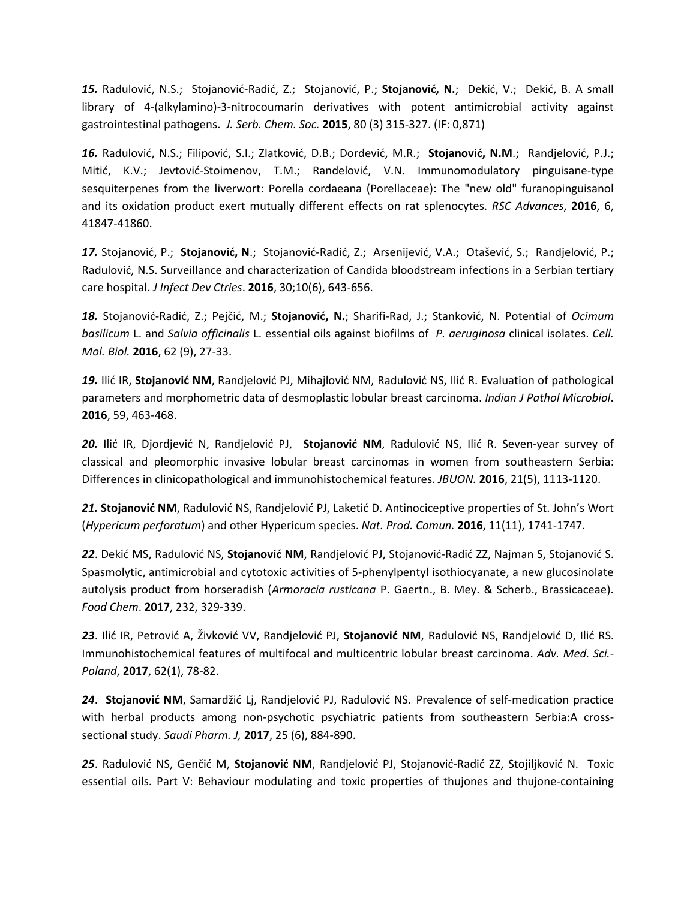*15.* Radulović, N.S.; Stojanović-Radić, Z.; Stojanović, P.; **Stojanović, N.**; Dekić, V.; Dekić, B. A small library of 4-(alkylamino)-3-nitrocoumarin derivatives with potent antimicrobial activity against gastrointestinal pathogens. *J. Serb. Chem. Soc.* **2015**, 80 (3) 315-327. (IF: 0,871)

*16.* Radulović, N.S.; Filipović, S.I.; Zlatković, D.B.; Dordević, M.R.; **Stojanović, N.M**.; Randjelović, P.J.; Mitić, K.V.; Jevtović-Stoimenov, T.M.; Randelović, V.N. Immunomodulatory pinguisane-type sesquiterpenes from the liverwort: Porella cordaeana (Porellaceae): The "new old" furanopinguisanol and its oxidation product exert mutually different effects on rat splenocytes. *RSC Advances*, **2016**, 6, 41847-41860.

*17.* Stojanović, P.; **Stojanović, N**.; Stojanović-Radić, Z.; Arsenijević, V.A.; Otašević, S.; Randjelović, P.; Radulović, N.S. Surveillance and characterization of Candida bloodstream infections in a Serbian tertiary care hospital. *J Infect Dev Ctries*. **2016**, 30;10(6), 643-656.

*18.* Stojanović-Radić, Z.; Pejčić, M.; **Stojanović, N.**; Sharifi-Rad, J.; Stanković, N. Potential of *Ocimum basilicum* L. and *Salvia officinalis* L. essential oils against biofilms of *P. aeruginosa* clinical isolates. *Cell. Mol. Biol.* **2016**, 62 (9), 27-33.

*19.* Ilić IR, **Stojanović NM**, Randjelović PJ, Mihajlović NM, Radulović NS, Ilić R. Evaluation of pathological parameters and morphometric data of desmoplastic lobular breast carcinoma. *Indian J Pathol Microbiol*. **2016**, 59, 463-468.

*20.* Ilić IR, Djordjević N, Randjelović PJ, **Stojanović NM**, Radulović NS, Ilić R. Seven-year survey of classical and pleomorphic invasive lobular breast carcinomas in women from southeastern Serbia: Differences in clinicopathological and immunohistochemical features. *JBUON.* **2016**, 21(5), 1113-1120.

*21.* **Stojanović NM**, Radulović NS, Randjelović PJ, Laketić D. Antinociceptive properties of St. John's Wort (*Hypericum perforatum*) and other Hypericum species. *Nat. Prod. Comun.* **2016**, 11(11), 1741-1747.

*22*. Dekić MS, Radulović NS, **Stojanović NM**, Randjelović PJ, Stojanović-Radić ZZ, Najman S, Stojanović S. Spasmolytic, antimicrobial and cytotoxic activities of 5-phenylpentyl isothiocyanate, a new glucosinolate autolysis product from horseradish (*Armoracia rusticana* P. Gaertn., B. Mey. & Scherb., Brassicaceae). *Food Chem*. **2017**, 232, 329-339.

*23*. Ilić IR, Petrović A, Živković VV, Randjelović PJ, **Stojanović NM**, Radulović NS, Randjelović D, Ilić RS. Immunohistochemical features of multifocal and multicentric lobular breast carcinoma. *Adv. Med. Sci.- Poland*, **2017**, 62(1), 78-82.

*24*. **Stojanović NM**, Samardžić Lj, Randjelović PJ, Radulović NS. Prevalence of self-medication practice with herbal products among non-psychotic psychiatric patients from southeastern Serbia:A crosssectional study. *Saudi Pharm. J,* **2017**, 25 (6), 884-890.

*25*. Radulović NS, Genčić M, **Stojanović NM**, Randjelović PJ, Stojanović-Radić ZZ, Stojiljković N. Toxic essential oils. Part V: Behaviour modulating and toxic properties of thujones and thujone-containing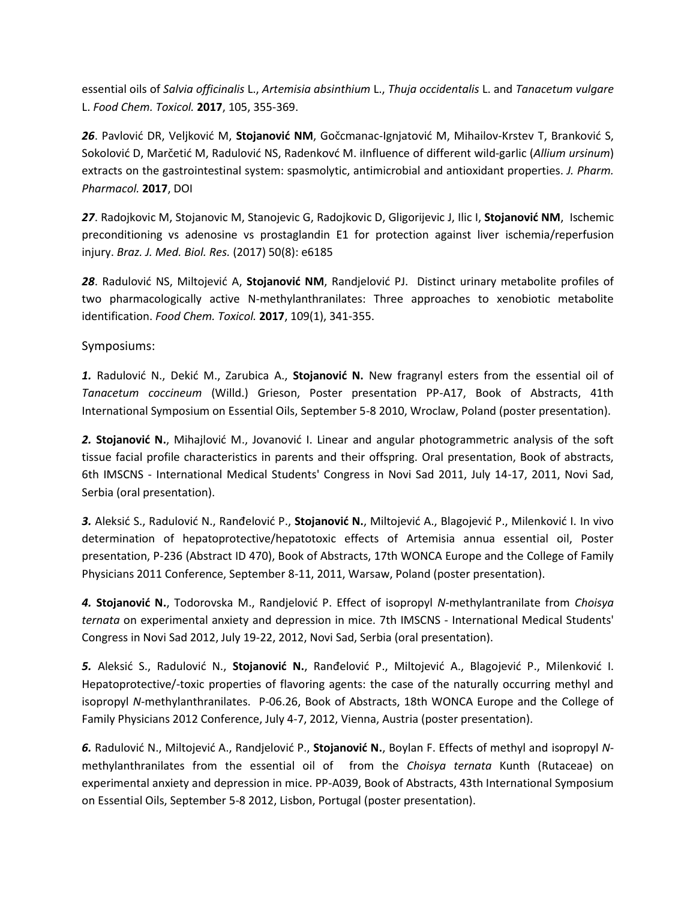essential oils of *Salvia officinalis* L., *Artemisia absinthium* L., *Thuja occidentalis* L. and *Tanacetum vulgare* L. *Food Chem. Toxicol.* **2017**, 105, 355-369.

*26*. Pavlović DR, Veljković M, **Stojanović NM**, Gočcmanac-Ignjatović M, Mihailov-Krstev T, Branković S, Sokolović D, Marčetić M, Radulović NS, Radenkovć M. iInfluence of different wild-garlic (*Allium ursinum*) extracts on the gastrointestinal system: spasmolytic, antimicrobial and antioxidant properties. *J. Pharm. Pharmacol.* **2017**, DOI

*27*. Radojkovic M, Stojanovic M, Stanojevic G, Radojkovic D, Gligorijevic J, Ilic I, **Stojanović NM**, Ischemic preconditioning vs adenosine vs prostaglandin E1 for protection against liver ischemia/reperfusion injury. *Braz. J. Med. Biol. Res.* (2017) 50(8): e6185

*28*. Radulović NS, Miltojević A, **Stojanović NM**, Randjelović PJ. Distinct urinary metabolite profiles of two pharmacologically active N-methylanthranilates: Three approaches to xenobiotic metabolite identification. *Food Chem. Toxicol.* **2017**, 109(1), 341-355.

Symposiums:

*1.* Radulović N., Dekić M., Zarubica A., **Stojanović N.** New fragranyl esters from the essential oil of *Tanacetum coccineum* (Willd.) Grieson, Poster presentation PP-A17, Book of Abstracts, 41th International Symposium on Essential Oils, September 5-8 2010, Wroclaw, Poland (poster presentation).

*2.* **Stojanović N.**, Mihajlović M., Jovanović I. Linear and angular photogrammetric analysis of the soft tissue facial profile characteristics in parents and their offspring. Oral presentation, Book of abstracts, 6th IMSCNS - International Medical Students' Congress in Novi Sad 2011, July 14-17, 2011, Novi Sad, Serbia (oral presentation).

*3.* Aleksić S., Radulović N., Ranđelović P., **Stojanović N.**, Miltojević A., Blagojević P., Milenković I. In vivo determination of hepatoprotective/hepatotoxic effects of Artemisia annua essential oil, Poster presentation, P-236 (Abstract ID 470), Book of Abstracts, 17th WONCA Europe and the College of Family Physicians 2011 Conference, September 8-11, 2011, Warsaw, Poland (poster presentation).

*4.* **Stojanović N.**, Todorovska M., Randjelović P. Effect of isopropyl *N*-methylantranilate from *Choisya ternata* on experimental anxiety and depression in mice. 7th IMSCNS - International Medical Students' Congress in Novi Sad 2012, July 19-22, 2012, Novi Sad, Serbia (oral presentation).

*5.* Aleksić S., Radulović N., **Stojanović N.**, Ranđelović P., Miltojević A., Blagojević P., Milenković I. Hepatoprotective/-toxic properties of flavoring agents: the case of the naturally occurring methyl and isopropyl *N*-methylanthranilates. P-06.26, Book of Abstracts, 18th WONCA Europe and the College of Family Physicians 2012 Conference, July 4-7, 2012, Vienna, Austria (poster presentation).

*6.* Radulović N., Miltojević A., Randjelović P., **Stojanović N.**, Boylan F. Effects of methyl and isopropyl *N*methylanthranilates from the essential oil of from the *Choisya ternata* Kunth (Rutaceae) on experimental anxiety and depression in mice. PP-A039, Book of Abstracts, 43th International Symposium on Essential Oils, September 5-8 2012, Lisbon, Portugal (poster presentation).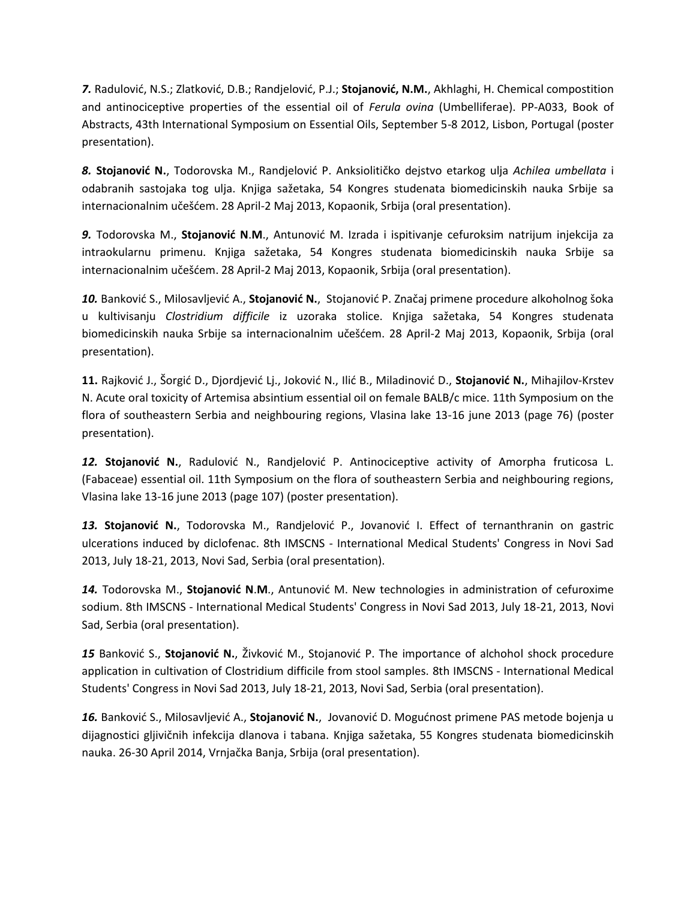*7.* Radulović, N.S.; Zlatković, D.B.; Randjelović, P.J.; **Stojanović, N.M.**, Akhlaghi, H. Chemical compostition and antinociceptive properties of the essential oil of *Ferula ovina* (Umbelliferae). PP-A033, Book of Abstracts, 43th International Symposium on Essential Oils, September 5-8 2012, Lisbon, Portugal (poster presentation).

*8.* **Stojanović N.**, Todorovska M., Randjelović P. Anksiolitičko dejstvo etarkog ulja *Achilea umbellata* i odabranih sastojaka tog ulja. Knjiga sažetaka, 54 Kongres studenata biomedicinskih nauka Srbije sa internacionalnim učešćem. 28 April-2 Maj 2013, Kopaonik, Srbija (oral presentation).

*9.* Todorovska M., **Stojanović N**.**M**., Antunović M. Izrada i ispitivanje cefuroksim natrijum injekcija za intraokularnu primenu. Knjiga sažetaka, 54 Kongres studenata biomedicinskih nauka Srbije sa internacionalnim učešćem. 28 April-2 Maj 2013, Kopaonik, Srbija (oral presentation).

*10.* Banković S., Milosavljević A., **Stojanović N.**, Stojanović P. Značaj primene procedure alkoholnog šoka u kultivisanju *Clostridium difficile* iz uzoraka stolice. Knjiga sažetaka, 54 Kongres studenata biomedicinskih nauka Srbije sa internacionalnim učešćem. 28 April-2 Maj 2013, Kopaonik, Srbija (oral presentation).

**11.** Rajković J., Šorgić D., Djordjević Lj., Joković N., Ilić B., Miladinović D., **Stojanović N.**, Mihajilov-Krstev N. Acute oral toxicity of Artemisa absintium essential oil on female BALB/c mice. 11th Symposium on the flora of southeastern Serbia and neighbouring regions, Vlasina lake 13-16 june 2013 (page 76) (poster presentation).

*12.* **Stojanović N.**, Radulović N., Randjelović P. Antinociceptive activity of Amorpha fruticosa L. (Fabaceae) essential oil. 11th Symposium on the flora of southeastern Serbia and neighbouring regions, Vlasina lake 13-16 june 2013 (page 107) (poster presentation).

*13.* **Stojanović N.**, Todorovska M., Randjelović P., Jovanović I. Effect of ternanthranin on gastric ulcerations induced by diclofenac. 8th IMSCNS - International Medical Students' Congress in Novi Sad 2013, July 18-21, 2013, Novi Sad, Serbia (oral presentation).

*14.* Todorovska M., **Stojanović N**.**M**., Antunović M. New technologies in administration of cefuroxime sodium. 8th IMSCNS - International Medical Students' Congress in Novi Sad 2013, July 18-21, 2013, Novi Sad, Serbia (oral presentation).

*15* Banković S., **Stojanović N.**, Živković M., Stojanović P. The importance of alchohol shock procedure application in cultivation of Clostridium difficile from stool samples. 8th IMSCNS - International Medical Students' Congress in Novi Sad 2013, July 18-21, 2013, Novi Sad, Serbia (oral presentation).

*16.* Banković S., Milosavljević A., **Stojanović N.**, Jovanović D. Mogućnost primene PAS metode bojenja u dijagnostici gljivičnih infekcija dlanova i tabana. Knjiga sažetaka, 55 Kongres studenata biomedicinskih nauka. 26-30 April 2014, Vrnjačka Banja, Srbija (oral presentation).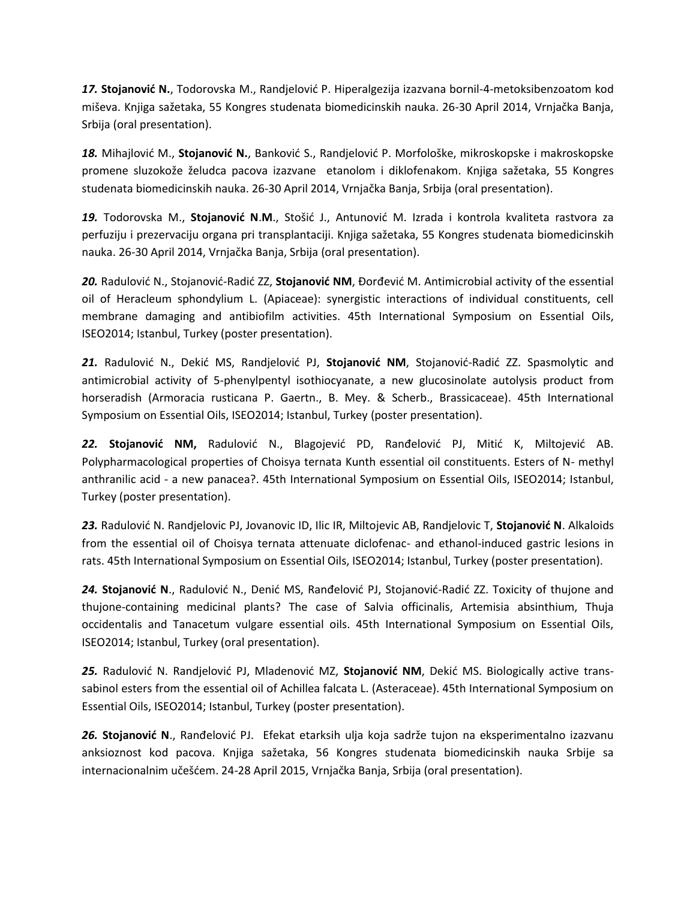*17.* **Stojanović N.**, Todorovska M., Randjelović P. Hiperalgezija izazvana bornil-4-metoksibenzoatom kod miševa. Knjiga sažetaka, 55 Kongres studenata biomedicinskih nauka. 26-30 April 2014, Vrnjačka Banja, Srbija (oral presentation).

*18.* Mihajlović M., **Stojanović N.**, Banković S., Randjelović P. Morfološke, mikroskopske i makroskopske promene sluzokože želudca pacova izazvane etanolom i diklofenakom. Knjiga sažetaka, 55 Kongres studenata biomedicinskih nauka. 26-30 April 2014, Vrnjačka Banja, Srbija (oral presentation).

*19.* Todorovska M., **Stojanović N**.**M**., Stošić J., Antunović M. Izrada i kontrola kvaliteta rastvora za perfuziju i prezervaciju organa pri transplantaciji. Knjiga sažetaka, 55 Kongres studenata biomedicinskih nauka. 26-30 April 2014, Vrnjačka Banja, Srbija (oral presentation).

*20.* Radulović N., Stojanović-Radić ZZ, **Stojanović NM**, Đorđević M. Antimicrobial activity of the essential oil of Heracleum sphondylium L. (Apiaceae): synergistic interactions of individual constituents, cell membrane damaging and antibiofilm activities. 45th International Symposium on Essential Oils, ISEO2014; Istanbul, Turkey (poster presentation).

*21.* Radulović N., Dekić MS, Randjelović PJ, **Stojanović NM**, Stojanović-Radić ZZ. Spasmolytic and antimicrobial activity of 5-phenylpentyl isothiocyanate, a new glucosinolate autolysis product from horseradish (Armoracia rusticana P. Gaertn., B. Mey. & Scherb., Brassicaceae). 45th International Symposium on Essential Oils, ISEO2014; Istanbul, Turkey (poster presentation).

*22.* **Stojanović NM,** Radulović N., Blagojević PD, Ranđelović PJ, Mitić K, Miltojević AB. Polypharmacological properties of Choisya ternata Kunth essential oil constituents. Esters of N- methyl anthranilic acid - a new panacea?. 45th International Symposium on Essential Oils, ISEO2014; Istanbul, Turkey (poster presentation).

*23.* Radulović N. Randjelovic PJ, Jovanovic ID, Ilic IR, Miltojevic AB, Randjelovic T, **Stojanović N**. Alkaloids from the essential oil of Choisya ternata attenuate diclofenac- and ethanol-induced gastric lesions in rats. 45th International Symposium on Essential Oils, ISEO2014; Istanbul, Turkey (poster presentation).

*24.* **Stojanović N**., Radulović N., Denić MS, Ranđelović PJ, Stojanović-Radić ZZ. Toxicity of thujone and thujone-containing medicinal plants? The case of Salvia officinalis, Artemisia absinthium, Thuja occidentalis and Tanacetum vulgare essential oils. 45th International Symposium on Essential Oils, ISEO2014; Istanbul, Turkey (oral presentation).

*25.* Radulović N. Randjelović PJ, Mladenović MZ, **Stojanović NM**, Dekić MS. Biologically active transsabinol esters from the essential oil of Achillea falcata L. (Asteraceae). 45th International Symposium on Essential Oils, ISEO2014; Istanbul, Turkey (poster presentation).

*26.* **Stojanović N**., Ranđelović PJ. Efekat etarksih ulja koja sadrže tujon na eksperimentalno izazvanu anksioznost kod pacova. Knjiga sažetaka, 56 Kongres studenata biomedicinskih nauka Srbije sa internacionalnim učešćem. 24-28 April 2015, Vrnjačka Banja, Srbija (oral presentation).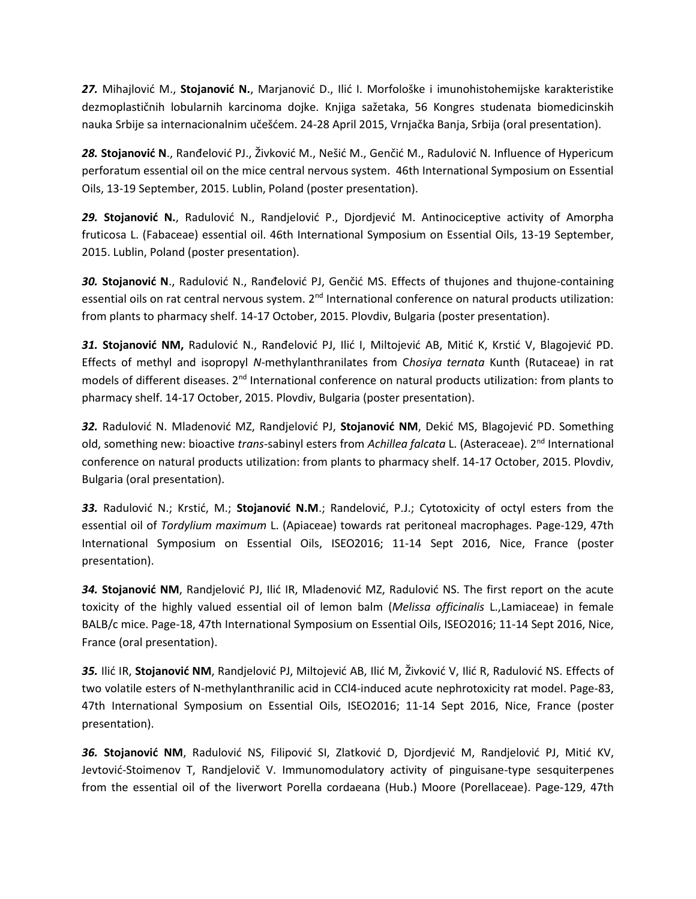*27.* Mihajlović M., **Stojanović N.**, Marjanović D., Ilić I. Morfološke i imunohistohemijske karakteristike dezmoplastičnih lobularnih karcinoma dojke. Knjiga sažetaka, 56 Kongres studenata biomedicinskih nauka Srbije sa internacionalnim učešćem. 24-28 April 2015, Vrnjačka Banja, Srbija (oral presentation).

*28.* **Stojanović N**., Ranđelović PJ., Živković M., Nešić M., Genčić M., Radulović N. Influence of Hypericum perforatum essential oil on the mice central nervous system. 46th International Symposium on Essential Oils, 13-19 September, 2015. Lublin, Poland (poster presentation).

*29.* **Stojanović N.**, Radulović N., Randjelović P., Djordjević M. Antinociceptive activity of Amorpha fruticosa L. (Fabaceae) essential oil. 46th International Symposium on Essential Oils, 13-19 September, 2015. Lublin, Poland (poster presentation).

30. Stojanović N., Radulović N., Ranđelović PJ, Genčić MS. Effects of thujones and thujone-containing essential oils on rat central nervous system. 2<sup>nd</sup> International conference on natural products utilization: from plants to pharmacy shelf. 14-17 October, 2015. Plovdiv, Bulgaria (poster presentation).

*31.* **Stojanović NM,** Radulović N., Ranđelović PJ, Ilić I, Miltojević AB, Mitić K, Krstić V, Blagojević PD. Effects of methyl and isopropyl *N*-methylanthranilates from C*hosiya ternata* Kunth (Rutaceae) in rat models of different diseases. 2<sup>nd</sup> International conference on natural products utilization: from plants to pharmacy shelf. 14-17 October, 2015. Plovdiv, Bulgaria (poster presentation).

*32.* Radulović N. Mladenović MZ, Randjelović PJ, **Stojanović NM**, Dekić MS, Blagojević PD. Something old, something new: bioactive *trans*-sabinyl esters from *Achillea falcata* L. (Asteraceae). 2nd International conference on natural products utilization: from plants to pharmacy shelf. 14-17 October, 2015. Plovdiv, Bulgaria (oral presentation).

*33.* Radulović N.; Krstić, M.; **Stojanović N.M**.; Randelović, P.J.; Cytotoxicity of octyl esters from the essential oil of *Tordylium maximum* L. (Apiaceae) towards rat peritoneal macrophages. Page-129, 47th International Symposium on Essential Oils, ISEO2016; 11-14 Sept 2016, Nice, France (poster presentation).

*34.* **Stojanović NM**, Randjelović PJ, Ilić IR, Mladenović MZ, Radulović NS. The first report on the acute toxicity of the highly valued essential oil of lemon balm (*Melissa officinalis* L.,Lamiaceae) in female BALB/c mice. Page-18, 47th International Symposium on Essential Oils, ISEO2016; 11-14 Sept 2016, Nice, France (oral presentation).

*35.* Ilić IR, **Stojanović NM**, Randjelović PJ, Miltojević AB, Ilić M, Živković V, Ilić R, Radulović NS. Effects of two volatile esters of N-methylanthranilic acid in CCl4-induced acute nephrotoxicity rat model. Page-83, 47th International Symposium on Essential Oils, ISEO2016; 11-14 Sept 2016, Nice, France (poster presentation).

*36.* **Stojanović NM**, Radulović NS, Filipović SI, Zlatković D, Djordjević M, Randjelović PJ, Mitić KV, Jevtović-Stoimenov T, Randjelovič V. Immunomodulatory activity of pinguisane-type sesquiterpenes from the essential oil of the liverwort Porella cordaeana (Hub.) Moore (Porellaceae). Page-129, 47th